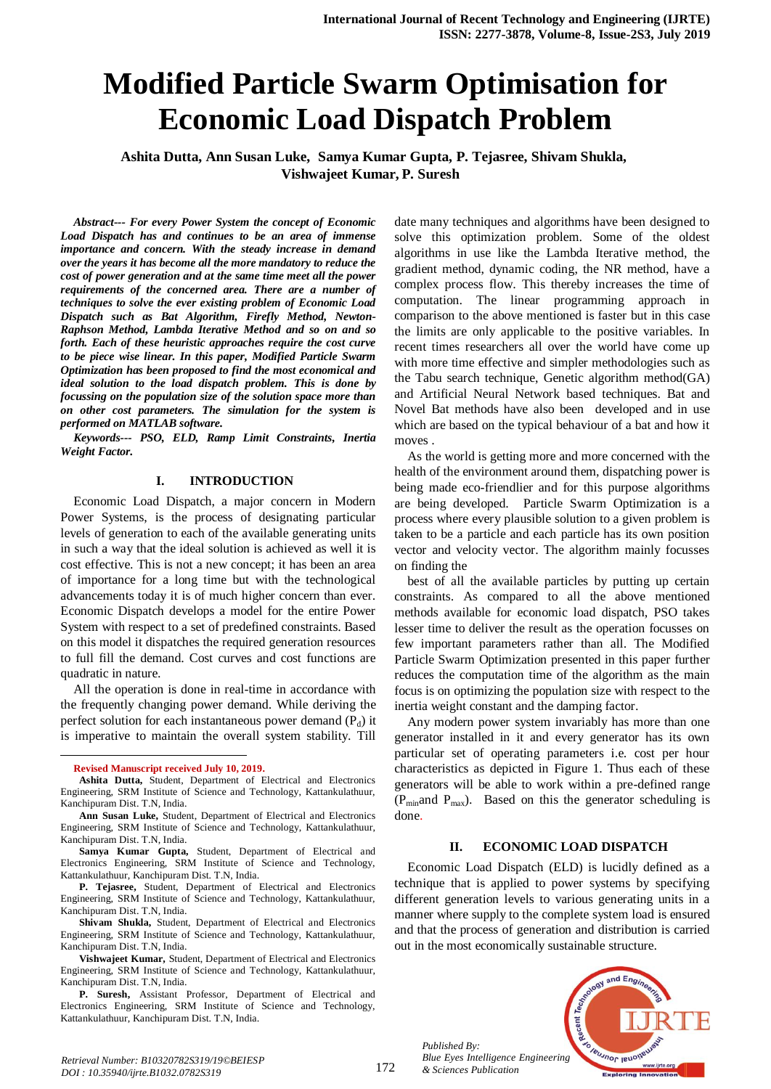# **Modified Particle Swarm Optimisation for Economic Load Dispatch Problem**

**Ashita Dutta, Ann Susan Luke, Samya Kumar Gupta, P. Tejasree, Shivam Shukla, Vishwajeet Kumar, P. Suresh**

*Abstract--- For every Power System the concept of Economic Load Dispatch has and continues to be an area of immense importance and concern. With the steady increase in demand over the years it has become all the more mandatory to reduce the cost of power generation and at the same time meet all the power requirements of the concerned area. There are a number of techniques to solve the ever existing problem of Economic Load Dispatch such as Bat Algorithm, Firefly Method, Newton-Raphson Method, Lambda Iterative Method and so on and so forth. Each of these heuristic approaches require the cost curve to be piece wise linear. In this paper, Modified Particle Swarm Optimization has been proposed to find the most economical and ideal solution to the load dispatch problem. This is done by focussing on the population size of the solution space more than on other cost parameters. The simulation for the system is performed on MATLAB software.*

*Keywords--- PSO, ELD, Ramp Limit Constraints, Inertia Weight Factor.*

# **I. INTRODUCTION**

Economic Load Dispatch, a major concern in Modern Power Systems, is the process of designating particular levels of generation to each of the available generating units in such a way that the ideal solution is achieved as well it is cost effective. This is not a new concept; it has been an area of importance for a long time but with the technological advancements today it is of much higher concern than ever. Economic Dispatch develops a model for the entire Power System with respect to a set of predefined constraints. Based on this model it dispatches the required generation resources to full fill the demand. Cost curves and cost functions are quadratic in nature.

All the operation is done in real-time in accordance with the frequently changing power demand. While deriving the perfect solution for each instantaneous power demand  $(P_d)$  it is imperative to maintain the overall system stability. Till

**Ann Susan Luke,** Student, Department of Electrical and Electronics Engineering, SRM Institute of Science and Technology, Kattankulathuur, Kanchipuram Dist. T.N, India.

**Samya Kumar Gupta,** Student, Department of Electrical and Electronics Engineering, SRM Institute of Science and Technology, Kattankulathuur, Kanchipuram Dist. T.N, India.

**P. Tejasree,** Student, Department of Electrical and Electronics Engineering, SRM Institute of Science and Technology, Kattankulathuur, Kanchipuram Dist. T.N, India.

**Shivam Shukla,** Student, Department of Electrical and Electronics Engineering, SRM Institute of Science and Technology, Kattankulathuur, Kanchipuram Dist. T.N, India.

**Vishwajeet Kumar,** Student, Department of Electrical and Electronics Engineering, SRM Institute of Science and Technology, Kattankulathuur, Kanchipuram Dist. T.N, India.

**P. Suresh,** Assistant Professor, Department of Electrical and Electronics Engineering, SRM Institute of Science and Technology, Kattankulathuur, Kanchipuram Dist. T.N, India.

date many techniques and algorithms have been designed to solve this optimization problem. Some of the oldest algorithms in use like the Lambda Iterative method, the gradient method, dynamic coding, the NR method, have a complex process flow. This thereby increases the time of computation. The linear programming approach in comparison to the above mentioned is faster but in this case the limits are only applicable to the positive variables. In recent times researchers all over the world have come up with more time effective and simpler methodologies such as the Tabu search technique, Genetic algorithm method(GA) and Artificial Neural Network based techniques. Bat and Novel Bat methods have also been developed and in use which are based on the typical behaviour of a bat and how it moves .

As the world is getting more and more concerned with the health of the environment around them, dispatching power is being made eco-friendlier and for this purpose algorithms are being developed. Particle Swarm Optimization is a process where every plausible solution to a given problem is taken to be a particle and each particle has its own position vector and velocity vector. The algorithm mainly focusses on finding the

best of all the available particles by putting up certain constraints. As compared to all the above mentioned methods available for economic load dispatch, PSO takes lesser time to deliver the result as the operation focusses on few important parameters rather than all. The Modified Particle Swarm Optimization presented in this paper further reduces the computation time of the algorithm as the main focus is on optimizing the population size with respect to the inertia weight constant and the damping factor.

Any modern power system invariably has more than one generator installed in it and every generator has its own particular set of operating parameters i.e. cost per hour characteristics as depicted in Figure 1. Thus each of these generators will be able to work within a pre-defined range  $(P_{\text{min}}$  and  $P_{\text{max}})$ . Based on this the generator scheduling is done.

## **II. ECONOMIC LOAD DISPATCH**

Economic Load Dispatch (ELD) is lucidly defined as a technique that is applied to power systems by specifying different generation levels to various generating units in a manner where supply to the complete system load is ensured and that the process of generation and distribution is carried out in the most economically sustainable structure.



*Retrieval Number: B10320782S319/19©BEIESP DOI : 10.35940/ijrte.B1032.0782S319*

*Published By:*

**Revised Manuscript received July 10, 2019.** 

**Ashita Dutta,** Student, Department of Electrical and Electronics Engineering, SRM Institute of Science and Technology, Kattankulathuur, Kanchipuram Dist. T.N, India.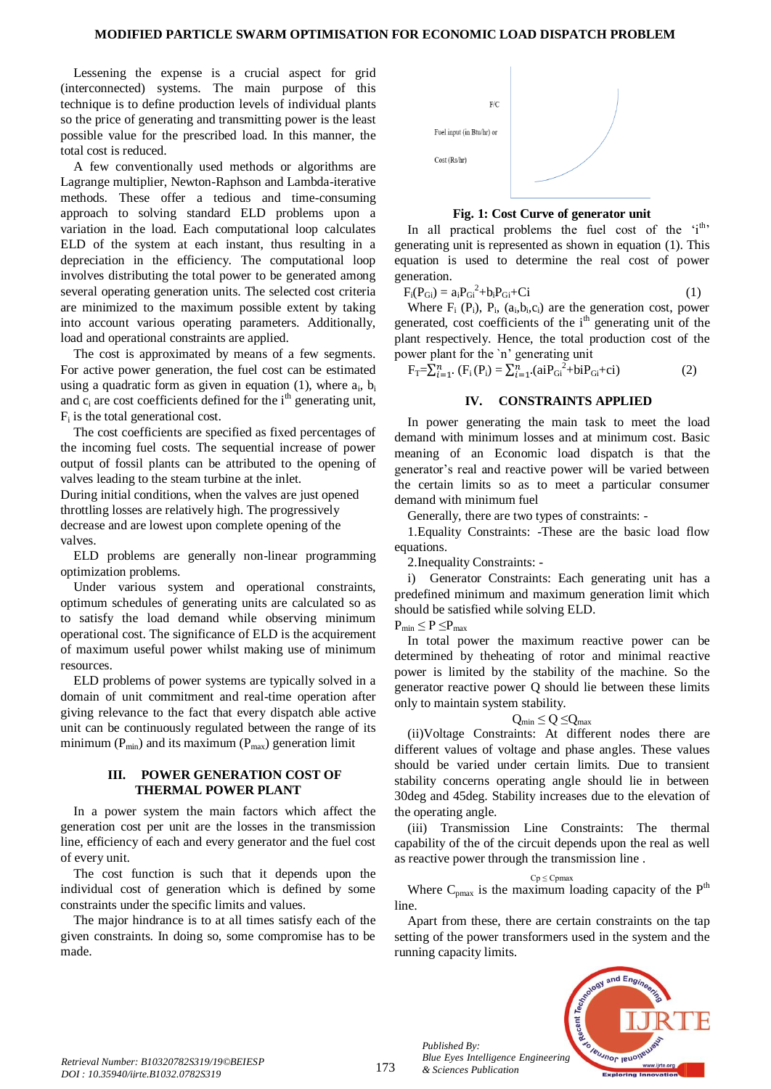Lessening the expense is a crucial aspect for grid (interconnected) systems. The main purpose of this technique is to define production levels of individual plants so the price of generating and transmitting power is the least possible value for the prescribed load. In this manner, the total cost is reduced.

A few conventionally used methods or algorithms are Lagrange multiplier, Newton-Raphson and Lambda-iterative methods. These offer a tedious and time-consuming approach to solving standard ELD problems upon a variation in the load. Each computational loop calculates ELD of the system at each instant, thus resulting in a depreciation in the efficiency. The computational loop involves distributing the total power to be generated among several operating generation units. The selected cost criteria are minimized to the maximum possible extent by taking into account various operating parameters. Additionally, load and operational constraints are applied.

The cost is approximated by means of a few segments. For active power generation, the fuel cost can be estimated using a quadratic form as given in equation  $(1)$ , where  $a_i$ ,  $b_i$ and  $c_i$  are cost coefficients defined for the  $i<sup>th</sup>$  generating unit,  $F_i$  is the total generational cost.

The cost coefficients are specified as fixed percentages of the incoming fuel costs. The sequential increase of power output of fossil plants can be attributed to the opening of valves leading to the steam turbine at the inlet.

During initial conditions, when the valves are just opened throttling losses are relatively high. The progressively decrease and are lowest upon complete opening of the valves.

ELD problems are generally non-linear programming optimization problems.

Under various system and operational constraints, optimum schedules of generating units are calculated so as to satisfy the load demand while observing minimum operational cost. The significance of ELD is the acquirement of maximum useful power whilst making use of minimum resources.

ELD problems of power systems are typically solved in a domain of unit commitment and real-time operation after giving relevance to the fact that every dispatch able active unit can be continuously regulated between the range of its minimum ( $P_{min}$ ) and its maximum ( $P_{max}$ ) generation limit

#### **III. POWER GENERATION COST OF THERMAL POWER PLANT**

In a power system the main factors which affect the generation cost per unit are the losses in the transmission line, efficiency of each and every generator and the fuel cost of every unit.

The cost function is such that it depends upon the individual cost of generation which is defined by some constraints under the specific limits and values.

The major hindrance is to at all times satisfy each of the given constraints. In doing so, some compromise has to be made.



#### **Fig. 1: Cost Curve of generator unit**

In all practical problems the fuel cost of the  $i<sup>th</sup>$ , generating unit is represented as shown in equation (1). This equation is used to determine the real cost of power generation.

$$
F_i(P_{Gi}) = a_i P_{Gi}^2 + b_i P_{Gi} + Ci \tag{1}
$$

Where  $F_i$  ( $P_i$ ),  $P_i$ , ( $a_i$ , $b_i$ , $c_i$ ) are the generation cost, power generated, cost coefficients of the  $i<sup>th</sup>$  generating unit of the plant respectively. Hence, the total production cost of the power plant for the `n' generating unit

$$
F_T = \sum_{i=1}^n (F_i(P_i) = \sum_{i=1}^n (aiP_{Gi}^2 + biP_{Gi} + ci)
$$
 (2)

# **IV. CONSTRAINTS APPLIED**

In power generating the main task to meet the load demand with minimum losses and at minimum cost. Basic meaning of an Economic load dispatch is that the generator's real and reactive power will be varied between the certain limits so as to meet a particular consumer demand with minimum fuel

Generally, there are two types of constraints: -

1.Equality Constraints: -These are the basic load flow equations.

2.Inequality Constraints: -

i) Generator Constraints: Each generating unit has a predefined minimum and maximum generation limit which should be satisfied while solving ELD.

$$
P_{min} \leq P \leq P_{max}
$$

In total power the maximum reactive power can be determined by theheating of rotor and minimal reactive power is limited by the stability of the machine. So the generator reactive power Q should lie between these limits only to maintain system stability.

$$
Q_{min} \leq Q \leq Q_{max}
$$

(ii)Voltage Constraints: At different nodes there are different values of voltage and phase angles. These values should be varied under certain limits. Due to transient stability concerns operating angle should lie in between 30deg and 45deg. Stability increases due to the elevation of the operating angle.

(iii) Transmission Line Constraints: The thermal capability of the of the circuit depends upon the real as well as reactive power through the transmission line .

#### $Cp \leq Cpmax$

Where  $C_{pmax}$  is the maximum loading capacity of the  $P^{th}$ line.

Apart from these, there are certain constraints on the tap setting of the power transformers used in the system and the running capacity limits.



*Published By:*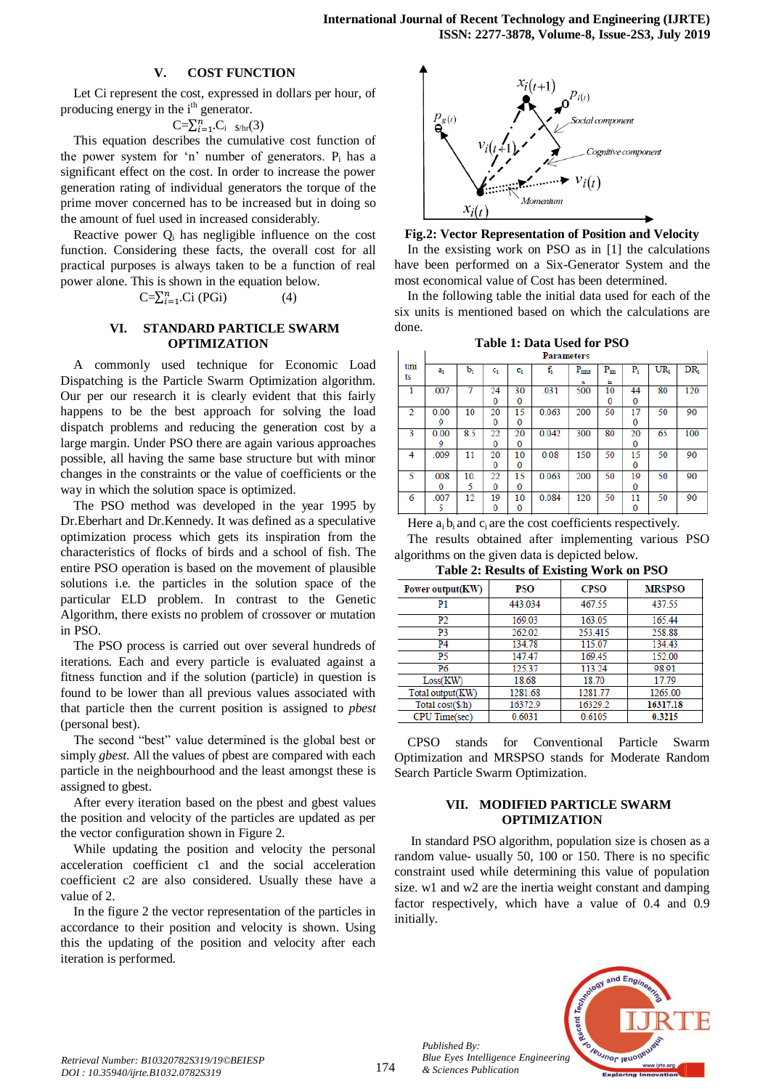## **V. COST FUNCTION**

Let Ci represent the cost, expressed in dollars per hour, of producing energy in the  $i<sup>th</sup>$  generator.

$$
C = \sum_{i=1}^{n} C_i \quad \text{g/m}(3)
$$

This equation describes the cumulative cost function of the power system for 'n' number of generators.  $P_i$  has a significant effect on the cost. In order to increase the power generation rating of individual generators the torque of the prime mover concerned has to be increased but in doing so the amount of fuel used in increased considerably.

Reactive power  $Q_i$  has negligible influence on the cost function. Considering these facts, the overall cost for all practical purposes is always taken to be a function of real power alone. This is shown in the equation below.

$$
C = \sum_{i=1}^{n} Ci \text{ (PGi)} \tag{4}
$$

## **VI. STANDARD PARTICLE SWARM OPTIMIZATION**

A commonly used technique for Economic Load Dispatching is the Particle Swarm Optimization algorithm. Our per our research it is clearly evident that this fairly happens to be the best approach for solving the load dispatch problems and reducing the generation cost by a large margin. Under PSO there are again various approaches possible, all having the same base structure but with minor changes in the constraints or the value of coefficients or the way in which the solution space is optimized.

The PSO method was developed in the year 1995 by Dr.Eberhart and Dr.Kennedy. It was defined as a speculative optimization process which gets its inspiration from the characteristics of flocks of birds and a school of fish. The entire PSO operation is based on the movement of plausible solutions i.e. the particles in the solution space of the particular ELD problem. In contrast to the Genetic Algorithm, there exists no problem of crossover or mutation in PSO.

The PSO process is carried out over several hundreds of iterations. Each and every particle is evaluated against a fitness function and if the solution (particle) in question is found to be lower than all previous values associated with that particle then the current position is assigned to *pbest* (personal best).

The second "best" value determined is the global best or simply *gbest*. All the values of pbest are compared with each particle in the neighbourhood and the least amongst these is assigned to gbest.

After every iteration based on the pbest and gbest values the position and velocity of the particles are updated as per the vector configuration shown in Figure 2.

While updating the position and velocity the personal acceleration coefficient c1 and the social acceleration coefficient c2 are also considered. Usually these have a value of 2.

In the figure 2 the vector representation of the particles in accordance to their position and velocity is shown. Using this the updating of the position and velocity after each iteration is performed.



#### **Fig.2: Vector Representation of Position and Velocity**

In the exsisting work on PSO as in [1] the calculations have been performed on a Six-Generator System and the most economical value of Cost has been determined.

In the following table the initial data used for each of the six units is mentioned based on which the calculations are done.

|  |                   | Table 1: Data Used for PSO |  |
|--|-------------------|----------------------------|--|
|  | <b>Daramatare</b> |                            |  |

|     | Parameters |     |       |    |       |           |              |                         |        |                 |
|-----|------------|-----|-------|----|-------|-----------|--------------|-------------------------|--------|-----------------|
| uni | ai         | b,  | $c_i$ | e  | fi    | $P_{ima}$ | $\rm P_{im}$ | $\mathbf{P}_{\text{i}}$ | $UR_i$ | DR <sub>i</sub> |
| ts  |            |     |       |    |       | x         | in           |                         |        |                 |
| 1   | .007       | 7   | 24    | 30 | .031  | 500       | 10           | 44                      | 80     | 120             |
|     |            |     | 0     | 0  |       |           | 0            | 0                       |        |                 |
| 2   | 0.00       | 10  | 20    | 15 | 0.063 | 200       | 50           | 17                      | 50     | 90              |
|     | 9          |     | 0     | 0  |       |           |              | $\Omega$                |        |                 |
| 3   | 0.00       | 8.5 | 22    | 20 | 0.042 | 300       | 80           | 20                      | 65     | 100             |
|     | 9          |     | 0     | 0  |       |           |              | 0                       |        |                 |
| 4   | .009       | 11  | 20    | 10 | 0.08  | 150       | 50           | 15                      | 50     | 90              |
|     |            |     | 0     | 0  |       |           |              | 0                       |        |                 |
| 5   | .008       | 10. | 22    | 15 | 0.063 | 200       | 50           | 19                      | 50     | 90              |
|     | 0          | 5   | 0     | 0  |       |           |              | 0                       |        |                 |
| 6   | .007       | 12  | 19    | 10 | 0.084 | 120       | 50           | 11                      | 50     | 90              |
|     | 5          |     | 0     | 0  |       |           |              | 0                       |        |                 |

Here  $a_i b_i$  and  $c_i$  are the cost coefficients respectively. The results obtained after implementing various PSO algorithms on the given data is depicted below.

**Table 2: Results of Existing Work on PSO**

|                  |         | ຼ           |               |
|------------------|---------|-------------|---------------|
| Power output(KW) | PSO     | <b>CPSO</b> | <b>MRSPSO</b> |
| P1               | 443.034 | 467.55      | 437.55        |
| P2               | 169.03  | 163.05      | 165.44        |
| P3               | 262.02  | 253.415     | 258.88        |
| P4               | 134.78  | 115.07      | 134.43        |
| P5               | 147.47  | 169.45      | 152.00        |
| P6               | 125.37  | 113.24      | 98.91         |
| Loss(KW)         | 18.68   | 18.70       | 17.79         |
| Total output(KW) | 1281.68 | 1281.77     | 1265.00       |
| Total cost(\$/h) | 16372.9 | 16329.2     | 16317.18      |
| CPU Time(sec)    | 0.6031  | 0.6105      | 0.3215        |

CPSO stands for Conventional Particle Swarm Optimization and MRSPSO stands for Moderate Random Search Particle Swarm Optimization.

# **VII. MODIFIED PARTICLE SWARM OPTIMIZATION**

In standard PSO algorithm, population size is chosen as a random value- usually 50, 100 or 150. There is no specific constraint used while determining this value of population size. w1 and w2 are the inertia weight constant and damping factor respectively, which have a value of 0.4 and 0.9 initially.



*Published By:*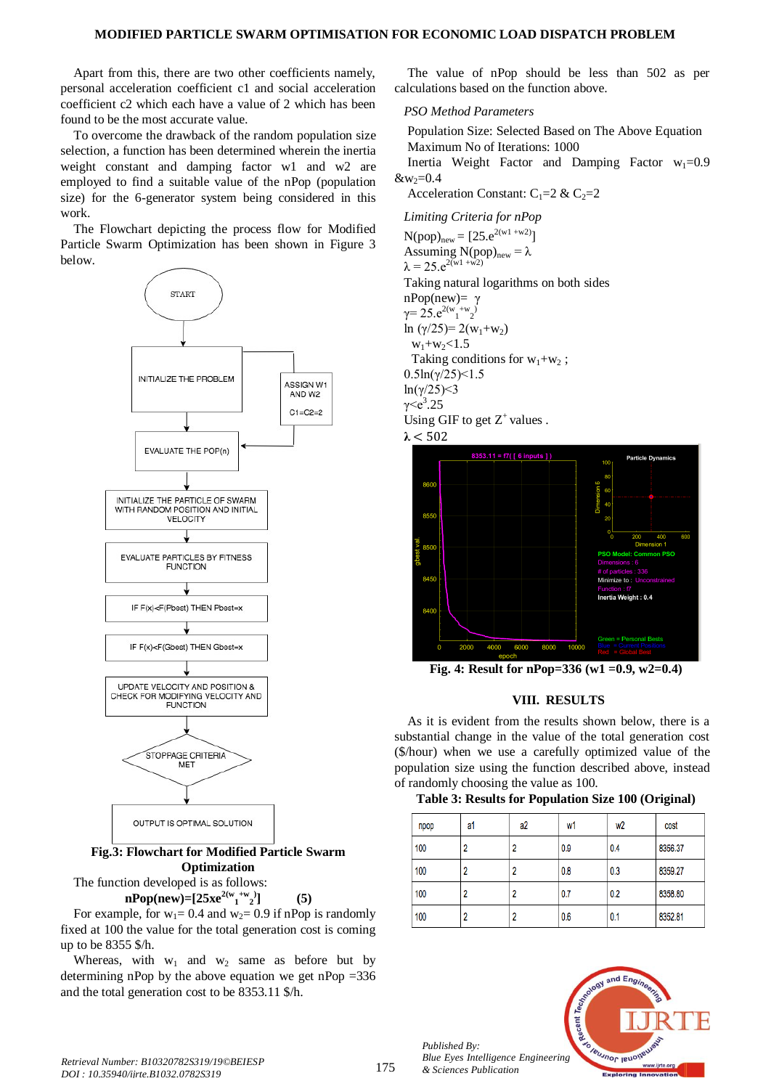Apart from this, there are two other coefficients namely, personal acceleration coefficient c1 and social acceleration coefficient c2 which each have a value of 2 which has been found to be the most accurate value.

To overcome the drawback of the random population size selection, a function has been determined wherein the inertia weight constant and damping factor w1 and w2 are employed to find a suitable value of the nPop (population size) for the 6-generator system being considered in this work.

The Flowchart depicting the process flow for Modified Particle Swarm Optimization has been shown in Figure 3 below.



**Optimization**

The function developed is as follows:  $nPop(new)=[25xe^{2(w_1+w_2)}]$ 

For example, for  $w_1 = 0.4$  and  $w_2 = 0.9$  if nPop is randomly fixed at 100 the value for the total generation cost is coming up to be 8355 \$/h.

**] (5)**

Whereas, with  $w_1$  and  $w_2$  same as before but by determining nPop by the above equation we get nPop  $=336$ and the total generation cost to be 8353.11 \$/h.

The value of nPop should be less than 502 as per calculations based on the function above.

#### *PSO Method Parameters*

Population Size: Selected Based on The Above Equation Maximum No of Iterations: 1000

Inertia Weight Factor and Damping Factor  $w_1=0.9$  $&w_2=0.4$ 

Acceleration Constant:  $C_1=2 \& C_2=2$ 

*Limiting Criteria for nPop*

 $N(pop)_{new} = [25 \cdot e^{2(w1 + w2)}]$ Assuming  $N(pop)_{new} = \lambda$  $\lambda = 25 \cdot e^{2(w1 + w2)}$ Taking natural logarithms on both sides nPop(new)= γ  $\gamma = 25. e^{2(w_1 + w_2)}$ ln  $(\gamma/25) = 2(w_1+w_2)$  $w_1 + w_2 < 1.5$ Taking conditions for  $w_1+w_2$ ;  $0.5\ln(\gamma/25)$  < 1.5 ln(γ/25)<3  $γ < e^3.25$ Using GIF to get  $Z^+$  values .





**Fig. 4: Result for nPop=336 (w1 =0.9, w2=0.4)**

# **VIII. RESULTS**

As it is evident from the results shown below, there is a substantial change in the value of the total generation cost (\$/hour) when we use a carefully optimized value of the population size using the function described above, instead of randomly choosing the value as 100.

# **Table 3: Results for Population Size 100 (Original)**

| npop | a1 | a2 | w1  | w <sub>2</sub> | cost    |
|------|----|----|-----|----------------|---------|
| 100  | 2  |    | 0.9 | 0.4            | 8356.37 |
| 100  | 2  |    | 0.8 | 0.3            | 8359.27 |
| 100  | 2  |    | 0.7 | 0.2            | 8358.80 |
| 100  | 2  |    | 0.6 | 0.1            | 8352.81 |



*Published By:*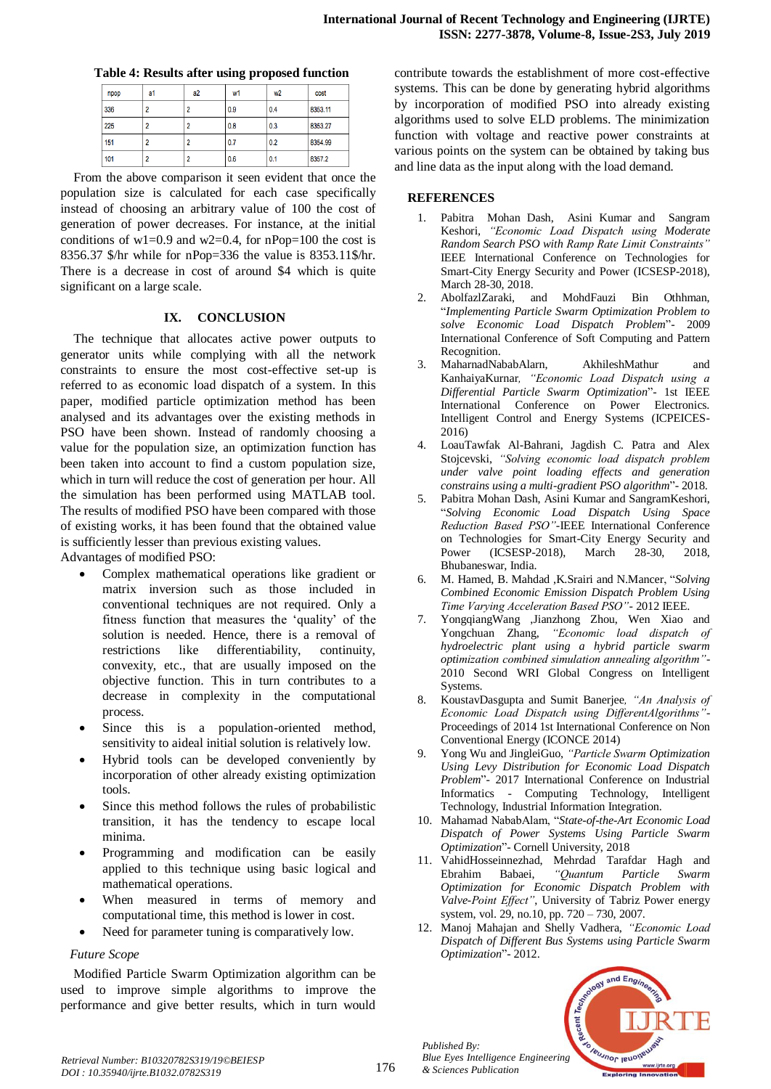|  |  |  |  | Table 4: Results after using proposed function |  |
|--|--|--|--|------------------------------------------------|--|
|--|--|--|--|------------------------------------------------|--|

| npop | a1 | a2 | w1  | w <sub>2</sub> | cost    |
|------|----|----|-----|----------------|---------|
| 336  |    |    | 0.9 | 0.4            | 8353.11 |
| 225  |    |    | 0.8 | 0.3            | 8353.27 |
| 151  |    |    | 0.7 | 0.2            | 8354.99 |
| 101  | າ  |    | 0.6 | 0.1            | 8357.2  |

From the above comparison it seen evident that once the population size is calculated for each case specifically instead of choosing an arbitrary value of 100 the cost of generation of power decreases. For instance, at the initial conditions of  $w1=0.9$  and  $w2=0.4$ , for nPop=100 the cost is 8356.37 \$/hr while for nPop=336 the value is 8353.11\$/hr. There is a decrease in cost of around \$4 which is quite significant on a large scale.

# **IX. CONCLUSION**

The technique that allocates active power outputs to generator units while complying with all the network constraints to ensure the most cost-effective set-up is referred to as economic load dispatch of a system. In this paper, modified particle optimization method has been analysed and its advantages over the existing methods in PSO have been shown. Instead of randomly choosing a value for the population size, an optimization function has been taken into account to find a custom population size, which in turn will reduce the cost of generation per hour. All the simulation has been performed using MATLAB tool. The results of modified PSO have been compared with those of existing works, it has been found that the obtained value is sufficiently lesser than previous existing values.

Advantages of modified PSO:

- Complex mathematical operations like gradient or matrix inversion such as those included in conventional techniques are not required. Only a fitness function that measures the 'quality' of the solution is needed. Hence, there is a removal of restrictions like differentiability, continuity, convexity, etc., that are usually imposed on the objective function. This in turn contributes to a decrease in complexity in the computational process.
- Since this is a population-oriented method, sensitivity to aideal initial solution is relatively low.
- Hybrid tools can be developed conveniently by incorporation of other already existing optimization tools.
- Since this method follows the rules of probabilistic transition, it has the tendency to escape local minima.
- Programming and modification can be easily applied to this technique using basic logical and mathematical operations.
- When measured in terms of memory and computational time, this method is lower in cost.
- Need for parameter tuning is comparatively low.

# *Future Scope*

Modified Particle Swarm Optimization algorithm can be used to improve simple algorithms to improve the performance and give better results, which in turn would contribute towards the establishment of more cost-effective systems. This can be done by generating hybrid algorithms by incorporation of modified PSO into already existing algorithms used to solve ELD problems. The minimization function with voltage and reactive power constraints at various points on the system can be obtained by taking bus and line data as the input along with the load demand.

## **REFERENCES**

- 1. Pabitra Mohan Dash, Asini Kumar and Sangram Keshori*, "Economic Load Dispatch using Moderate Random Search PSO with Ramp Rate Limit Constraints"* IEEE International Conference on Technologies for Smart-City Energy Security and Power (ICSESP-2018), March 28-30, 2018.
- 2. AbolfazlZaraki, and MohdFauzi Bin Othhman, "*Implementing Particle Swarm Optimization Problem to solve Economic Load Dispatch Problem*"- 2009 International Conference of Soft Computing and Pattern Recognition.
- 3. MaharnadNababAlarn, AkhileshMathur and KanhaiyaKurnar*, "Economic Load Dispatch using a Differential Particle Swarm Optimization*"- 1st IEEE International Conference on Power Electronics. Intelligent Control and Energy Systems (ICPEICES-2016)
- 4. LoauTawfak Al-Bahrani, Jagdish C. Patra and Alex Stojcevski, *"Solving economic load dispatch problem under valve point loading effects and generation constrains using a multi-gradient PSO algorithm*"- 2018.
- 5. Pabitra Mohan Dash, Asini Kumar and SangramKeshori, "*Solving Economic Load Dispatch Using Space Reduction Based PSO"*-IEEE International Conference on Technologies for Smart-City Energy Security and Power (ICSESP-2018), March 28-30, 2018, Bhubaneswar, India.
- 6. M. Hamed, B. Mahdad ,K.Srairi and N.Mancer, "*Solving Combined Economic Emission Dispatch Problem Using Time Varying Acceleration Based PSO"-* 2012 IEEE.
- 7. YongqiangWang ,Jianzhong Zhou, Wen Xiao and Yongchuan Zhang, *"Economic load dispatch of hydroelectric plant using a hybrid particle swarm optimization combined simulation annealing algorithm"*- 2010 Second WRI Global Congress on Intelligent Systems.
- 8. KoustavDasgupta and Sumit Banerjee*, "An Analysis of Economic Load Dispatch using DifferentAlgorithms"*- Proceedings of 2014 1st International Conference on Non Conventional Energy (ICONCE 2014)
- 9. Yong Wu and JingleiGuo, *"Particle Swarm Optimization Using Levy Distribution for Economic Load Dispatch Problem*"- 2017 International Conference on Industrial Informatics - Computing Technology, Intelligent Technology, Industrial Information Integration.
- 10. Mahamad NababAlam, "*State-of-the-Art Economic Load Dispatch of Power Systems Using Particle Swarm Optimization*"- Cornell University, 2018
- 11. VahidHosseinnezhad, Mehrdad Tarafdar Hagh and Ebrahim Babaei, *"Quantum Particle Swarm Optimization for Economic Dispatch Problem with Valve-Point Effect"*, University of Tabriz Power energy system, vol. 29, no.10, pp. 720 – 730, 2007.
- 12. Manoj Mahajan and Shelly Vadhera, *"Economic Load Dispatch of Different Bus Systems using Particle Swarm Optimization*"- 2012.



*Published By:*